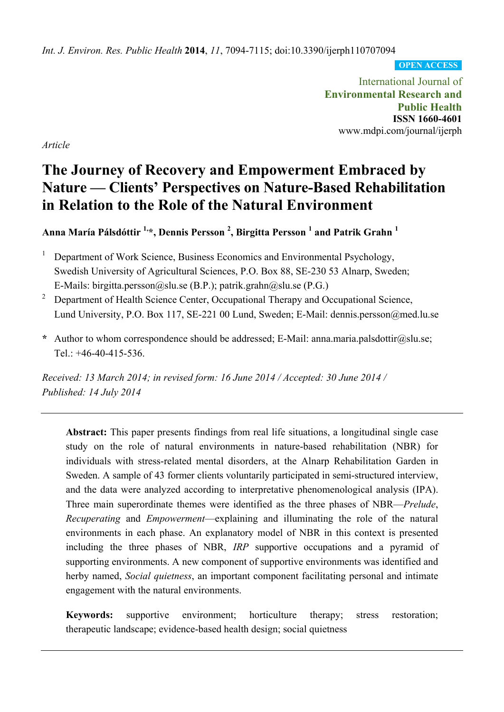*Int. J. Environ. Res. Public Health* **2014**, *11*, 7094-7115; doi:10.3390/ijerph110707094

**OPEN ACCESS**

International Journal of **Environmental Research and Public Health ISSN 1660-4601**  www.mdpi.com/journal/ijerph

*Article* 

# **The Journey of Recovery and Empowerment Embraced by Nature — Clients' Perspectives on Nature-Based Rehabilitation in Relation to the Role of the Natural Environment**

**Anna María Pálsdóttir 1,\*, Dennis Persson 2 , Birgitta Persson <sup>1</sup> and Patrik Grahn <sup>1</sup>**

- 1 Department of Work Science, Business Economics and Environmental Psychology, Swedish University of Agricultural Sciences, P.O. Box 88, SE-230 53 Alnarp, Sweden; E-Mails: birgitta.persson@slu.se (B.P.); patrik.grahn@slu.se (P.G.)
- 2 Department of Health Science Center, Occupational Therapy and Occupational Science, Lund University, P.O. Box 117, SE-221 00 Lund, Sweden; E-Mail: dennis.persson@med.lu.se
- **\*** Author to whom correspondence should be addressed; E-Mail: anna.maria.palsdottir@slu.se; Tel.: +46-40-415-536.

*Received: 13 March 2014; in revised form: 16 June 2014 / Accepted: 30 June 2014 / Published: 14 July 2014* 

**Abstract:** This paper presents findings from real life situations, a longitudinal single case study on the role of natural environments in nature-based rehabilitation (NBR) for individuals with stress-related mental disorders, at the Alnarp Rehabilitation Garden in Sweden. A sample of 43 former clients voluntarily participated in semi-structured interview, and the data were analyzed according to interpretative phenomenological analysis (IPA). Three main superordinate themes were identified as the three phases of NBR—*Prelude*, *Recuperating* and *Empowerment*—explaining and illuminating the role of the natural environments in each phase. An explanatory model of NBR in this context is presented including the three phases of NBR, *IRP* supportive occupations and a pyramid of supporting environments. A new component of supportive environments was identified and herby named, *Social quietness*, an important component facilitating personal and intimate engagement with the natural environments.

**Keywords:** supportive environment; horticulture therapy; stress restoration; therapeutic landscape; evidence-based health design; social quietness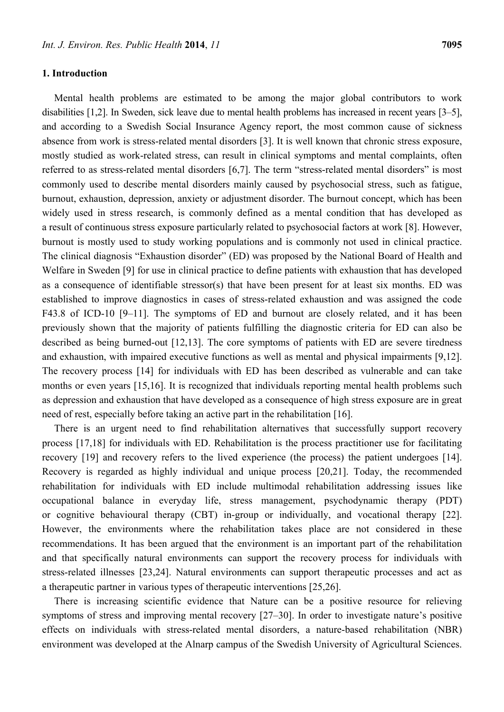## **1. Introduction**

Mental health problems are estimated to be among the major global contributors to work disabilities [1,2]. In Sweden, sick leave due to mental health problems has increased in recent years [3–5], and according to a Swedish Social Insurance Agency report, the most common cause of sickness absence from work is stress-related mental disorders [3]. It is well known that chronic stress exposure, mostly studied as work-related stress, can result in clinical symptoms and mental complaints, often referred to as stress-related mental disorders [6,7]. The term "stress-related mental disorders" is most commonly used to describe mental disorders mainly caused by psychosocial stress, such as fatigue, burnout, exhaustion, depression, anxiety or adjustment disorder. The burnout concept, which has been widely used in stress research, is commonly defined as a mental condition that has developed as a result of continuous stress exposure particularly related to psychosocial factors at work [8]. However, burnout is mostly used to study working populations and is commonly not used in clinical practice. The clinical diagnosis "Exhaustion disorder" (ED) was proposed by the National Board of Health and Welfare in Sweden [9] for use in clinical practice to define patients with exhaustion that has developed as a consequence of identifiable stressor(s) that have been present for at least six months. ED was established to improve diagnostics in cases of stress-related exhaustion and was assigned the code F43.8 of ICD-10 [9–11]. The symptoms of ED and burnout are closely related, and it has been previously shown that the majority of patients fulfilling the diagnostic criteria for ED can also be described as being burned-out [12,13]. The core symptoms of patients with ED are severe tiredness and exhaustion, with impaired executive functions as well as mental and physical impairments [9,12]. The recovery process [14] for individuals with ED has been described as vulnerable and can take months or even years [15,16]. It is recognized that individuals reporting mental health problems such as depression and exhaustion that have developed as a consequence of high stress exposure are in great need of rest, especially before taking an active part in the rehabilitation [16].

There is an urgent need to find rehabilitation alternatives that successfully support recovery process [17,18] for individuals with ED. Rehabilitation is the process practitioner use for facilitating recovery [19] and recovery refers to the lived experience (the process) the patient undergoes [14]. Recovery is regarded as highly individual and unique process [20,21]. Today, the recommended rehabilitation for individuals with ED include multimodal rehabilitation addressing issues like occupational balance in everyday life, stress management, psychodynamic therapy (PDT) or cognitive behavioural therapy (CBT) in-group or individually, and vocational therapy [22]. However, the environments where the rehabilitation takes place are not considered in these recommendations. It has been argued that the environment is an important part of the rehabilitation and that specifically natural environments can support the recovery process for individuals with stress-related illnesses [23,24]. Natural environments can support therapeutic processes and act as a therapeutic partner in various types of therapeutic interventions [25,26].

There is increasing scientific evidence that Nature can be a positive resource for relieving symptoms of stress and improving mental recovery [27–30]. In order to investigate nature's positive effects on individuals with stress-related mental disorders, a nature-based rehabilitation (NBR) environment was developed at the Alnarp campus of the Swedish University of Agricultural Sciences.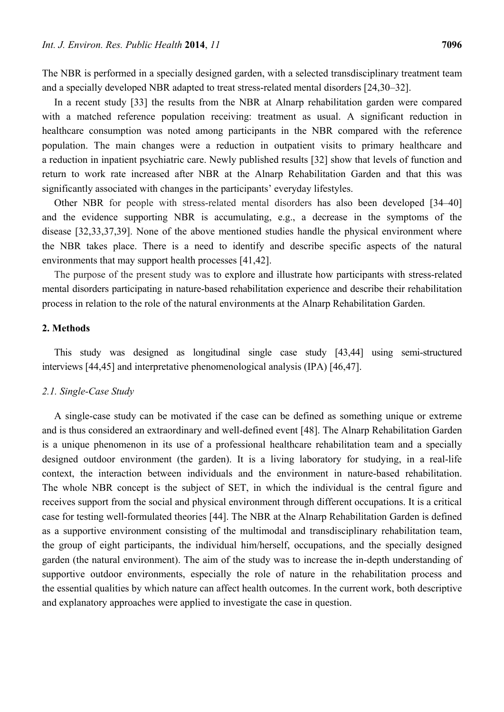The NBR is performed in a specially designed garden, with a selected transdisciplinary treatment team and a specially developed NBR adapted to treat stress-related mental disorders [24,30–32].

In a recent study [33] the results from the NBR at Alnarp rehabilitation garden were compared with a matched reference population receiving: treatment as usual. A significant reduction in healthcare consumption was noted among participants in the NBR compared with the reference population. The main changes were a reduction in outpatient visits to primary healthcare and a reduction in inpatient psychiatric care. Newly published results [32] show that levels of function and return to work rate increased after NBR at the Alnarp Rehabilitation Garden and that this was significantly associated with changes in the participants' everyday lifestyles.

Other NBR for people with stress-related mental disorders has also been developed [34–40] and the evidence supporting NBR is accumulating, e.g., a decrease in the symptoms of the disease [32,33,37,39]. None of the above mentioned studies handle the physical environment where the NBR takes place. There is a need to identify and describe specific aspects of the natural environments that may support health processes [41,42].

The purpose of the present study was to explore and illustrate how participants with stress-related mental disorders participating in nature-based rehabilitation experience and describe their rehabilitation process in relation to the role of the natural environments at the Alnarp Rehabilitation Garden.

# **2. Methods**

This study was designed as longitudinal single case study [43,44] using semi-structured interviews [44,45] and interpretative phenomenological analysis (IPA) [46,47].

#### *2.1. Single-Case Study*

A single-case study can be motivated if the case can be defined as something unique or extreme and is thus considered an extraordinary and well-defined event [48]. The Alnarp Rehabilitation Garden is a unique phenomenon in its use of a professional healthcare rehabilitation team and a specially designed outdoor environment (the garden). It is a living laboratory for studying, in a real-life context, the interaction between individuals and the environment in nature-based rehabilitation. The whole NBR concept is the subject of SET, in which the individual is the central figure and receives support from the social and physical environment through different occupations. It is a critical case for testing well-formulated theories [44]. The NBR at the Alnarp Rehabilitation Garden is defined as a supportive environment consisting of the multimodal and transdisciplinary rehabilitation team, the group of eight participants, the individual him/herself, occupations, and the specially designed garden (the natural environment). The aim of the study was to increase the in-depth understanding of supportive outdoor environments, especially the role of nature in the rehabilitation process and the essential qualities by which nature can affect health outcomes. In the current work, both descriptive and explanatory approaches were applied to investigate the case in question.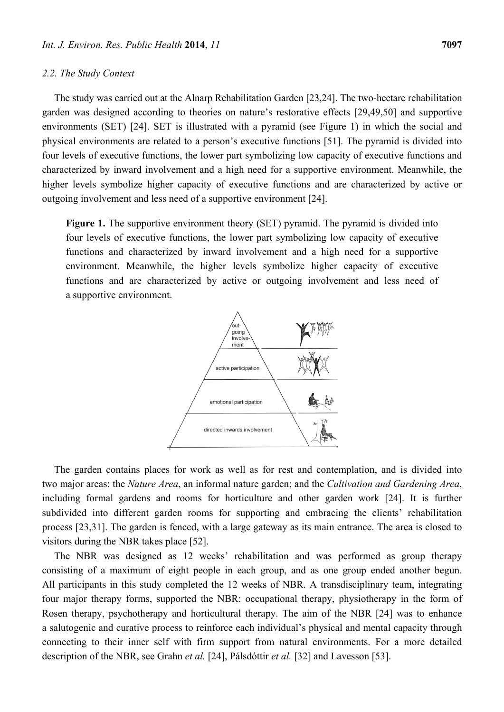## *2.2. The Study Context*

The study was carried out at the Alnarp Rehabilitation Garden [23,24]. The two-hectare rehabilitation garden was designed according to theories on nature's restorative effects [29,49,50] and supportive environments (SET) [24]. SET is illustrated with a pyramid (see Figure 1) in which the social and physical environments are related to a person's executive functions [51]. The pyramid is divided into four levels of executive functions, the lower part symbolizing low capacity of executive functions and characterized by inward involvement and a high need for a supportive environment. Meanwhile, the higher levels symbolize higher capacity of executive functions and are characterized by active or outgoing involvement and less need of a supportive environment [24].

**Figure 1.** The supportive environment theory (SET) pyramid. The pyramid is divided into four levels of executive functions, the lower part symbolizing low capacity of executive functions and characterized by inward involvement and a high need for a supportive environment. Meanwhile, the higher levels symbolize higher capacity of executive functions and are characterized by active or outgoing involvement and less need of a supportive environment.



The garden contains places for work as well as for rest and contemplation, and is divided into two major areas: the *Nature Area*, an informal nature garden; and the *Cultivation and Gardening Area*, including formal gardens and rooms for horticulture and other garden work [24]. It is further subdivided into different garden rooms for supporting and embracing the clients' rehabilitation process [23,31]. The garden is fenced, with a large gateway as its main entrance. The area is closed to visitors during the NBR takes place [52].

The NBR was designed as 12 weeks' rehabilitation and was performed as group therapy consisting of a maximum of eight people in each group, and as one group ended another begun. All participants in this study completed the 12 weeks of NBR. A transdisciplinary team, integrating four major therapy forms, supported the NBR: occupational therapy, physiotherapy in the form of Rosen therapy, psychotherapy and horticultural therapy. The aim of the NBR [24] was to enhance a salutogenic and curative process to reinforce each individual's physical and mental capacity through connecting to their inner self with firm support from natural environments. For a more detailed description of the NBR, see Grahn *et al.* [24], Pálsdóttir *et al.* [32] and Lavesson [53].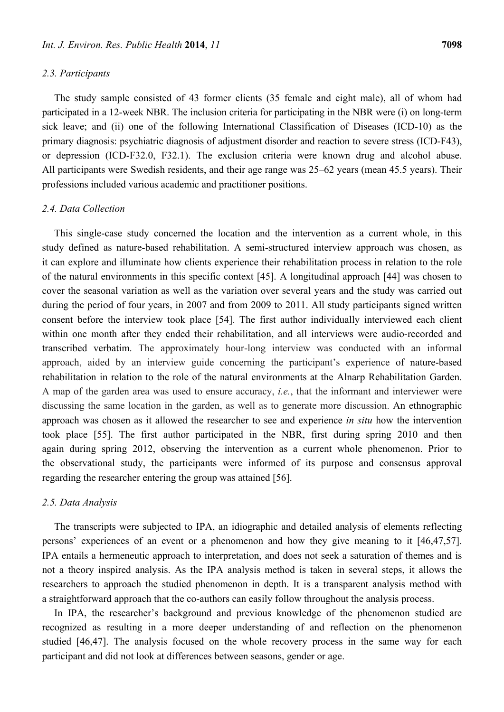#### *2.3. Participants*

The study sample consisted of 43 former clients (35 female and eight male), all of whom had participated in a 12-week NBR. The inclusion criteria for participating in the NBR were (i) on long-term sick leave; and (ii) one of the following International Classification of Diseases (ICD-10) as the primary diagnosis: psychiatric diagnosis of adjustment disorder and reaction to severe stress (ICD-F43), or depression (ICD-F32.0, F32.1). The exclusion criteria were known drug and alcohol abuse. All participants were Swedish residents, and their age range was 25–62 years (mean 45.5 years). Their professions included various academic and practitioner positions.

## *2.4. Data Collection*

This single-case study concerned the location and the intervention as a current whole, in this study defined as nature-based rehabilitation. A semi-structured interview approach was chosen, as it can explore and illuminate how clients experience their rehabilitation process in relation to the role of the natural environments in this specific context [45]. A longitudinal approach [44] was chosen to cover the seasonal variation as well as the variation over several years and the study was carried out during the period of four years, in 2007 and from 2009 to 2011. All study participants signed written consent before the interview took place [54]. The first author individually interviewed each client within one month after they ended their rehabilitation, and all interviews were audio-recorded and transcribed verbatim. The approximately hour-long interview was conducted with an informal approach, aided by an interview guide concerning the participant's experience of nature-based rehabilitation in relation to the role of the natural environments at the Alnarp Rehabilitation Garden. A map of the garden area was used to ensure accuracy, *i.e.*, that the informant and interviewer were discussing the same location in the garden, as well as to generate more discussion. An ethnographic approach was chosen as it allowed the researcher to see and experience *in situ* how the intervention took place [55]. The first author participated in the NBR, first during spring 2010 and then again during spring 2012, observing the intervention as a current whole phenomenon. Prior to the observational study, the participants were informed of its purpose and consensus approval regarding the researcher entering the group was attained [56].

### *2.5. Data Analysis*

The transcripts were subjected to IPA, an idiographic and detailed analysis of elements reflecting persons' experiences of an event or a phenomenon and how they give meaning to it [46,47,57]. IPA entails a hermeneutic approach to interpretation, and does not seek a saturation of themes and is not a theory inspired analysis. As the IPA analysis method is taken in several steps, it allows the researchers to approach the studied phenomenon in depth. It is a transparent analysis method with a straightforward approach that the co-authors can easily follow throughout the analysis process.

In IPA, the researcher's background and previous knowledge of the phenomenon studied are recognized as resulting in a more deeper understanding of and reflection on the phenomenon studied [46,47]. The analysis focused on the whole recovery process in the same way for each participant and did not look at differences between seasons, gender or age.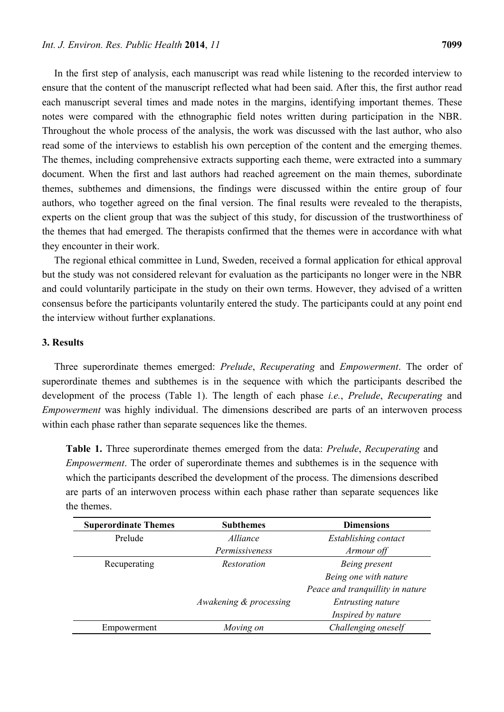In the first step of analysis, each manuscript was read while listening to the recorded interview to ensure that the content of the manuscript reflected what had been said. After this, the first author read each manuscript several times and made notes in the margins, identifying important themes. These notes were compared with the ethnographic field notes written during participation in the NBR. Throughout the whole process of the analysis, the work was discussed with the last author, who also read some of the interviews to establish his own perception of the content and the emerging themes. The themes, including comprehensive extracts supporting each theme, were extracted into a summary document. When the first and last authors had reached agreement on the main themes, subordinate themes, subthemes and dimensions, the findings were discussed within the entire group of four authors, who together agreed on the final version. The final results were revealed to the therapists, experts on the client group that was the subject of this study, for discussion of the trustworthiness of the themes that had emerged. The therapists confirmed that the themes were in accordance with what they encounter in their work.

The regional ethical committee in Lund, Sweden, received a formal application for ethical approval but the study was not considered relevant for evaluation as the participants no longer were in the NBR and could voluntarily participate in the study on their own terms. However, they advised of a written consensus before the participants voluntarily entered the study. The participants could at any point end the interview without further explanations.

## **3. Results**

Three superordinate themes emerged: *Prelude*, *Recuperating* and *Empowerment*. The order of superordinate themes and subthemes is in the sequence with which the participants described the development of the process (Table 1). The length of each phase *i.e.*, *Prelude*, *Recuperating* and *Empowerment* was highly individual. The dimensions described are parts of an interwoven process within each phase rather than separate sequences like the themes.

**Table 1.** Three superordinate themes emerged from the data: *Prelude*, *Recuperating* and *Empowerment*. The order of superordinate themes and subthemes is in the sequence with which the participants described the development of the process. The dimensions described are parts of an interwoven process within each phase rather than separate sequences like the themes.

| <b>Superordinate Themes</b> | <b>Subthemes</b>       | <b>Dimensions</b>                |
|-----------------------------|------------------------|----------------------------------|
| Prelude                     | <i>Alliance</i>        | Establishing contact             |
|                             | Permissiveness         | Armour off                       |
| Recuperating                | <i>Restoration</i>     | Being present                    |
|                             |                        | Being one with nature            |
|                             |                        | Peace and tranquillity in nature |
|                             | Awakening & processing | <b>Entrusting nature</b>         |
|                             |                        | Inspired by nature               |
| Empowerment                 | Moving on              | Challenging oneself              |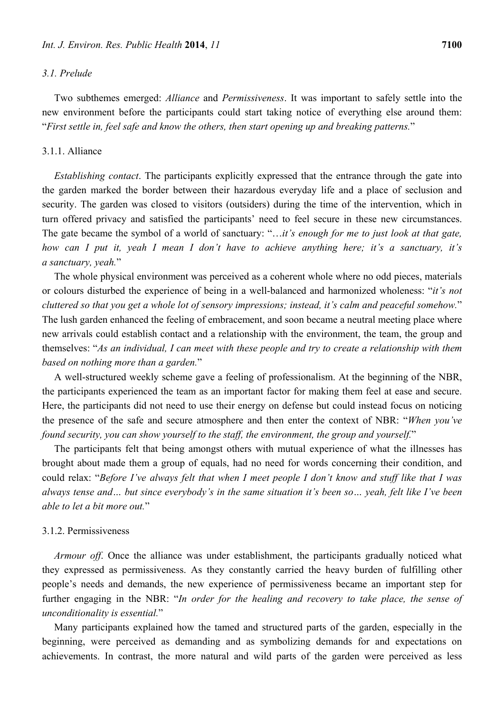## *3.1. Prelude*

Two subthemes emerged: *Alliance* and *Permissiveness*. It was important to safely settle into the new environment before the participants could start taking notice of everything else around them: "*First settle in, feel safe and know the others, then start opening up and breaking patterns.*"

#### 3.1.1. Alliance

*Establishing contact*. The participants explicitly expressed that the entrance through the gate into the garden marked the border between their hazardous everyday life and a place of seclusion and security. The garden was closed to visitors (outsiders) during the time of the intervention, which in turn offered privacy and satisfied the participants' need to feel secure in these new circumstances. The gate became the symbol of a world of sanctuary: "…*it's enough for me to just look at that gate, how can I put it, yeah I mean I don't have to achieve anything here; it's a sanctuary, it's a sanctuary, yeah.*"

The whole physical environment was perceived as a coherent whole where no odd pieces, materials or colours disturbed the experience of being in a well-balanced and harmonized wholeness: "*it's not cluttered so that you get a whole lot of sensory impressions; instead, it's calm and peaceful somehow.*" The lush garden enhanced the feeling of embracement, and soon became a neutral meeting place where new arrivals could establish contact and a relationship with the environment, the team, the group and themselves: "*As an individual, I can meet with these people and try to create a relationship with them based on nothing more than a garden.*"

A well-structured weekly scheme gave a feeling of professionalism. At the beginning of the NBR, the participants experienced the team as an important factor for making them feel at ease and secure. Here, the participants did not need to use their energy on defense but could instead focus on noticing the presence of the safe and secure atmosphere and then enter the context of NBR: "*When you've found security, you can show yourself to the staff, the environment, the group and yourself.*"

The participants felt that being amongst others with mutual experience of what the illnesses has brought about made them a group of equals, had no need for words concerning their condition, and could relax: "*Before I've always felt that when I meet people I don't know and stuff like that I was always tense and… but since everybody's in the same situation it's been so… yeah, felt like I've been able to let a bit more out.*"

## 3.1.2. Permissiveness

*Armour off*. Once the alliance was under establishment, the participants gradually noticed what they expressed as permissiveness. As they constantly carried the heavy burden of fulfilling other people's needs and demands, the new experience of permissiveness became an important step for further engaging in the NBR: "*In order for the healing and recovery to take place, the sense of unconditionality is essential.*"

Many participants explained how the tamed and structured parts of the garden, especially in the beginning, were perceived as demanding and as symbolizing demands for and expectations on achievements. In contrast, the more natural and wild parts of the garden were perceived as less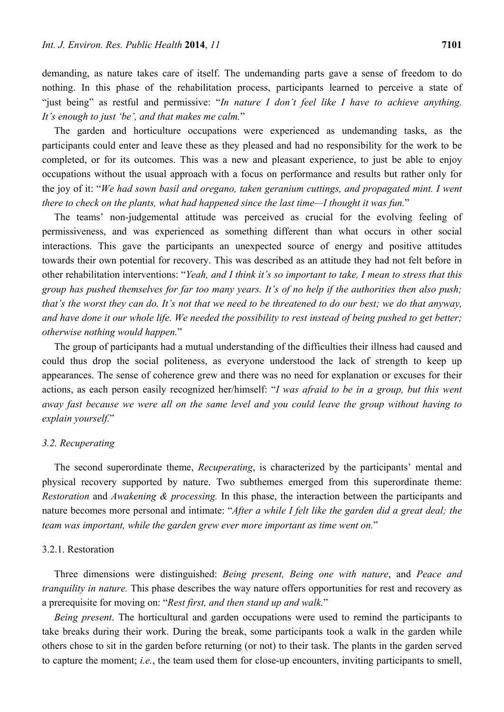demanding, as nature takes care of itself. The undemanding parts gave a sense of freedom to do nothing. In this phase of the rehabilitation process, participants learned to perceive a state of "just being" as restful and permissive: "*In nature I don't feel like I have to achieve anything.* 

*It's enough to just 'be', and that makes me calm.*"

The garden and horticulture occupations were experienced as undemanding tasks, as the participants could enter and leave these as they pleased and had no responsibility for the work to be completed, or for its outcomes. This was a new and pleasant experience, to just be able to enjoy occupations without the usual approach with a focus on performance and results but rather only for the joy of it: "*We had sown basil and oregano, taken geranium cuttings, and propagated mint. I went there to check on the plants, what had happened since the last time—I thought it was fun.*"

The teams' non-judgemental attitude was perceived as crucial for the evolving feeling of permissiveness, and was experienced as something different than what occurs in other social interactions. This gave the participants an unexpected source of energy and positive attitudes towards their own potential for recovery. This was described as an attitude they had not felt before in other rehabilitation interventions: "*Yeah, and I think it's so important to take, I mean to stress that this group has pushed themselves for far too many years. It's of no help if the authorities then also push; that's the worst they can do. It's not that we need to be threatened to do our best; we do that anyway, and have done it our whole life. We needed the possibility to rest instead of being pushed to get better; otherwise nothing would happen.*"

The group of participants had a mutual understanding of the difficulties their illness had caused and could thus drop the social politeness, as everyone understood the lack of strength to keep up appearances. The sense of coherence grew and there was no need for explanation or excuses for their actions, as each person easily recognized her/himself: "*I was afraid to be in a group, but this went away fast because we were all on the same level and you could leave the group without having to explain yourself.*"

#### *3.2. Recuperating*

The second superordinate theme, *Recuperating*, is characterized by the participants' mental and physical recovery supported by nature. Two subthemes emerged from this superordinate theme: *Restoration* and *Awakening & processing.* In this phase, the interaction between the participants and nature becomes more personal and intimate: "*After a while I felt like the garden did a great deal; the team was important, while the garden grew ever more important as time went on.*"

#### 3.2.1. Restoration

Three dimensions were distinguished: *Being present, Being one with nature*, and *Peace and tranquility in nature.* This phase describes the way nature offers opportunities for rest and recovery as a prerequisite for moving on: "*Rest first, and then stand up and walk.*"

*Being present*. The horticultural and garden occupations were used to remind the participants to take breaks during their work. During the break, some participants took a walk in the garden while others chose to sit in the garden before returning (or not) to their task. The plants in the garden served to capture the moment; *i.e.*, the team used them for close-up encounters, inviting participants to smell,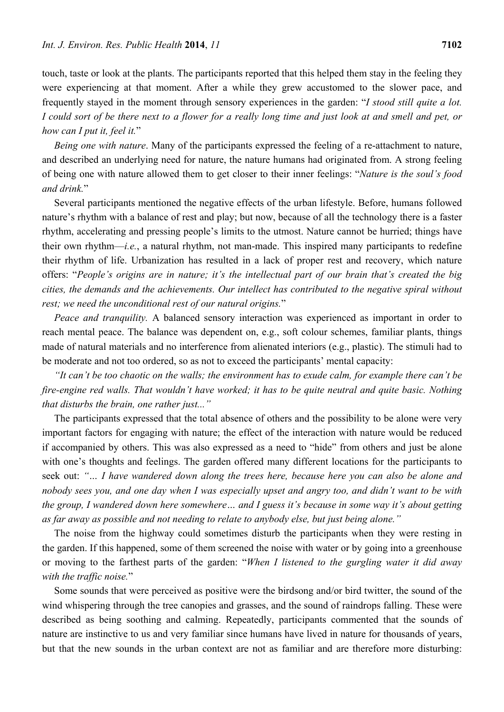touch, taste or look at the plants. The participants reported that this helped them stay in the feeling they were experiencing at that moment. After a while they grew accustomed to the slower pace, and frequently stayed in the moment through sensory experiences in the garden: "*I stood still quite a lot. I could sort of be there next to a flower for a really long time and just look at and smell and pet, or how can I put it, feel it.*"

*Being one with nature*. Many of the participants expressed the feeling of a re-attachment to nature, and described an underlying need for nature, the nature humans had originated from. A strong feeling of being one with nature allowed them to get closer to their inner feelings: "*Nature is the soul's food and drink.*"

Several participants mentioned the negative effects of the urban lifestyle. Before, humans followed nature's rhythm with a balance of rest and play; but now, because of all the technology there is a faster rhythm, accelerating and pressing people's limits to the utmost. Nature cannot be hurried; things have their own rhythm—*i.e.*, a natural rhythm, not man-made. This inspired many participants to redefine their rhythm of life. Urbanization has resulted in a lack of proper rest and recovery, which nature offers: "*People's origins are in nature; it's the intellectual part of our brain that's created the big cities, the demands and the achievements. Our intellect has contributed to the negative spiral without rest; we need the unconditional rest of our natural origins.*"

*Peace and tranquility.* A balanced sensory interaction was experienced as important in order to reach mental peace. The balance was dependent on, e.g., soft colour schemes, familiar plants, things made of natural materials and no interference from alienated interiors (e.g., plastic). The stimuli had to be moderate and not too ordered, so as not to exceed the participants' mental capacity:

*"It can't be too chaotic on the walls; the environment has to exude calm, for example there can't be fire-engine red walls. That wouldn't have worked; it has to be quite neutral and quite basic. Nothing that disturbs the brain, one rather just..."* 

The participants expressed that the total absence of others and the possibility to be alone were very important factors for engaging with nature; the effect of the interaction with nature would be reduced if accompanied by others. This was also expressed as a need to "hide" from others and just be alone with one's thoughts and feelings. The garden offered many different locations for the participants to seek out: *"… I have wandered down along the trees here, because here you can also be alone and nobody sees you, and one day when I was especially upset and angry too, and didn't want to be with the group, I wandered down here somewhere… and I guess it's because in some way it's about getting as far away as possible and not needing to relate to anybody else, but just being alone."* 

The noise from the highway could sometimes disturb the participants when they were resting in the garden. If this happened, some of them screened the noise with water or by going into a greenhouse or moving to the farthest parts of the garden: "*When I listened to the gurgling water it did away with the traffic noise.*"

Some sounds that were perceived as positive were the birdsong and/or bird twitter, the sound of the wind whispering through the tree canopies and grasses, and the sound of raindrops falling. These were described as being soothing and calming. Repeatedly, participants commented that the sounds of nature are instinctive to us and very familiar since humans have lived in nature for thousands of years, but that the new sounds in the urban context are not as familiar and are therefore more disturbing: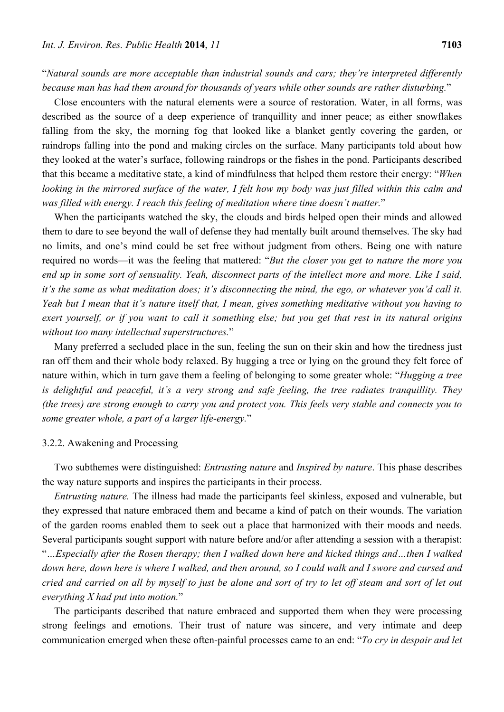"*Natural sounds are more acceptable than industrial sounds and cars; they're interpreted differently because man has had them around for thousands of years while other sounds are rather disturbing.*"

Close encounters with the natural elements were a source of restoration. Water, in all forms, was described as the source of a deep experience of tranquillity and inner peace; as either snowflakes falling from the sky, the morning fog that looked like a blanket gently covering the garden, or raindrops falling into the pond and making circles on the surface. Many participants told about how they looked at the water's surface, following raindrops or the fishes in the pond. Participants described that this became a meditative state, a kind of mindfulness that helped them restore their energy: "*When looking in the mirrored surface of the water, I felt how my body was just filled within this calm and was filled with energy. I reach this feeling of meditation where time doesn't matter.*"

When the participants watched the sky, the clouds and birds helped open their minds and allowed them to dare to see beyond the wall of defense they had mentally built around themselves. The sky had no limits, and one's mind could be set free without judgment from others. Being one with nature required no words—it was the feeling that mattered: "*But the closer you get to nature the more you end up in some sort of sensuality. Yeah, disconnect parts of the intellect more and more. Like I said, it's the same as what meditation does; it's disconnecting the mind, the ego, or whatever you'd call it. Yeah but I mean that it's nature itself that, I mean, gives something meditative without you having to exert yourself, or if you want to call it something else; but you get that rest in its natural origins without too many intellectual superstructures.*"

Many preferred a secluded place in the sun, feeling the sun on their skin and how the tiredness just ran off them and their whole body relaxed. By hugging a tree or lying on the ground they felt force of nature within, which in turn gave them a feeling of belonging to some greater whole: "*Hugging a tree is delightful and peaceful, it's a very strong and safe feeling, the tree radiates tranquillity. They (the trees) are strong enough to carry you and protect you. This feels very stable and connects you to some greater whole, a part of a larger life-energy.*"

#### 3.2.2. Awakening and Processing

Two subthemes were distinguished: *Entrusting nature* and *Inspired by nature*. This phase describes the way nature supports and inspires the participants in their process.

*Entrusting nature.* The illness had made the participants feel skinless, exposed and vulnerable, but they expressed that nature embraced them and became a kind of patch on their wounds. The variation of the garden rooms enabled them to seek out a place that harmonized with their moods and needs. Several participants sought support with nature before and/or after attending a session with a therapist:

"*…Especially after the Rosen therapy; then I walked down here and kicked things and…then I walked down here, down here is where I walked, and then around, so I could walk and I swore and cursed and cried and carried on all by myself to just be alone and sort of try to let off steam and sort of let out everything X had put into motion.*"

The participants described that nature embraced and supported them when they were processing strong feelings and emotions. Their trust of nature was sincere, and very intimate and deep communication emerged when these often-painful processes came to an end: "*To cry in despair and let*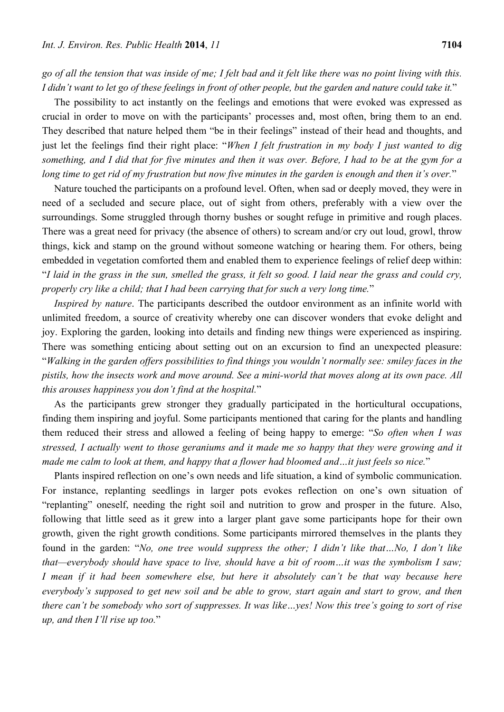*go of all the tension that was inside of me; I felt bad and it felt like there was no point living with this. I didn't want to let go of these feelings in front of other people, but the garden and nature could take it.*"

The possibility to act instantly on the feelings and emotions that were evoked was expressed as crucial in order to move on with the participants' processes and, most often, bring them to an end. They described that nature helped them "be in their feelings" instead of their head and thoughts, and just let the feelings find their right place: "*When I felt frustration in my body I just wanted to dig something, and I did that for five minutes and then it was over. Before, I had to be at the gym for a long time to get rid of my frustration but now five minutes in the garden is enough and then it's over.*"

Nature touched the participants on a profound level. Often, when sad or deeply moved, they were in need of a secluded and secure place, out of sight from others, preferably with a view over the surroundings. Some struggled through thorny bushes or sought refuge in primitive and rough places. There was a great need for privacy (the absence of others) to scream and/or cry out loud, growl, throw things, kick and stamp on the ground without someone watching or hearing them. For others, being embedded in vegetation comforted them and enabled them to experience feelings of relief deep within: "*I laid in the grass in the sun, smelled the grass, it felt so good. I laid near the grass and could cry, properly cry like a child; that I had been carrying that for such a very long time.*"

*Inspired by nature*. The participants described the outdoor environment as an infinite world with unlimited freedom, a source of creativity whereby one can discover wonders that evoke delight and joy. Exploring the garden, looking into details and finding new things were experienced as inspiring. There was something enticing about setting out on an excursion to find an unexpected pleasure: "*Walking in the garden offers possibilities to find things you wouldn't normally see: smiley faces in the pistils, how the insects work and move around. See a mini-world that moves along at its own pace. All this arouses happiness you don't find at the hospital.*"

As the participants grew stronger they gradually participated in the horticultural occupations, finding them inspiring and joyful. Some participants mentioned that caring for the plants and handling them reduced their stress and allowed a feeling of being happy to emerge: "*So often when I was stressed, I actually went to those geraniums and it made me so happy that they were growing and it made me calm to look at them, and happy that a flower had bloomed and…it just feels so nice.*"

Plants inspired reflection on one's own needs and life situation, a kind of symbolic communication. For instance, replanting seedlings in larger pots evokes reflection on one's own situation of "replanting" oneself, needing the right soil and nutrition to grow and prosper in the future. Also, following that little seed as it grew into a larger plant gave some participants hope for their own growth, given the right growth conditions. Some participants mirrored themselves in the plants they found in the garden: "*No, one tree would suppress the other; I didn't like that…No, I don't like that—everybody should have space to live, should have a bit of room…it was the symbolism I saw; I mean if it had been somewhere else, but here it absolutely can't be that way because here everybody's supposed to get new soil and be able to grow, start again and start to grow, and then there can't be somebody who sort of suppresses. It was like…yes! Now this tree's going to sort of rise up, and then I'll rise up too.*"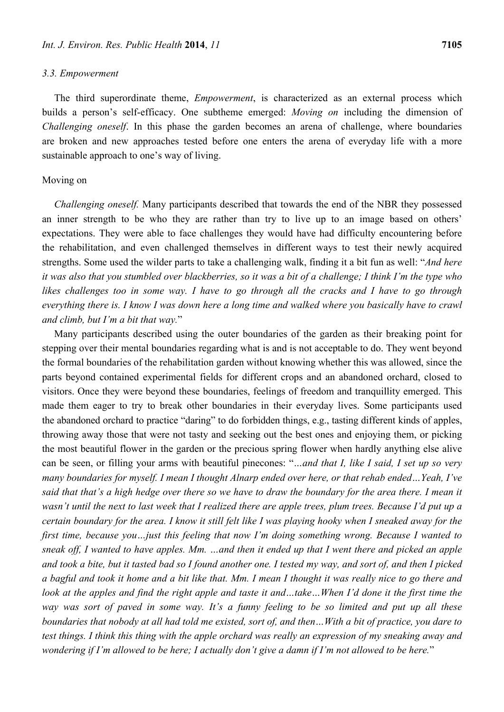#### *3.3. Empowerment*

The third superordinate theme, *Empowerment*, is characterized as an external process which builds a person's self-efficacy. One subtheme emerged: *Moving on* including the dimension of *Challenging oneself*. In this phase the garden becomes an arena of challenge, where boundaries are broken and new approaches tested before one enters the arena of everyday life with a more sustainable approach to one's way of living.

# Moving on

*Challenging oneself.* Many participants described that towards the end of the NBR they possessed an inner strength to be who they are rather than try to live up to an image based on others' expectations. They were able to face challenges they would have had difficulty encountering before the rehabilitation, and even challenged themselves in different ways to test their newly acquired strengths. Some used the wilder parts to take a challenging walk, finding it a bit fun as well: "*And here it was also that you stumbled over blackberries, so it was a bit of a challenge; I think I'm the type who*  likes challenges too in some way. I have to go through all the cracks and I have to go through *everything there is. I know I was down here a long time and walked where you basically have to crawl and climb, but I'm a bit that way.*"

Many participants described using the outer boundaries of the garden as their breaking point for stepping over their mental boundaries regarding what is and is not acceptable to do. They went beyond the formal boundaries of the rehabilitation garden without knowing whether this was allowed, since the parts beyond contained experimental fields for different crops and an abandoned orchard, closed to visitors. Once they were beyond these boundaries, feelings of freedom and tranquillity emerged. This made them eager to try to break other boundaries in their everyday lives. Some participants used the abandoned orchard to practice "daring" to do forbidden things, e.g., tasting different kinds of apples, throwing away those that were not tasty and seeking out the best ones and enjoying them, or picking the most beautiful flower in the garden or the precious spring flower when hardly anything else alive can be seen, or filling your arms with beautiful pinecones: "*…and that I, like I said, I set up so very many boundaries for myself. I mean I thought Alnarp ended over here, or that rehab ended…Yeah, I've said that that's a high hedge over there so we have to draw the boundary for the area there. I mean it wasn't until the next to last week that I realized there are apple trees, plum trees. Because I'd put up a certain boundary for the area. I know it still felt like I was playing hooky when I sneaked away for the first time, because you…just this feeling that now I'm doing something wrong. Because I wanted to sneak off, I wanted to have apples. Mm. …and then it ended up that I went there and picked an apple and took a bite, but it tasted bad so I found another one. I tested my way, and sort of, and then I picked a bagful and took it home and a bit like that. Mm. I mean I thought it was really nice to go there and*  look at the apples and find the right apple and taste it and...take...When I'd done it the first time the *way was sort of paved in some way. It's a funny feeling to be so limited and put up all these boundaries that nobody at all had told me existed, sort of, and then…With a bit of practice, you dare to test things. I think this thing with the apple orchard was really an expression of my sneaking away and wondering if I'm allowed to be here; I actually don't give a damn if I'm not allowed to be here.*"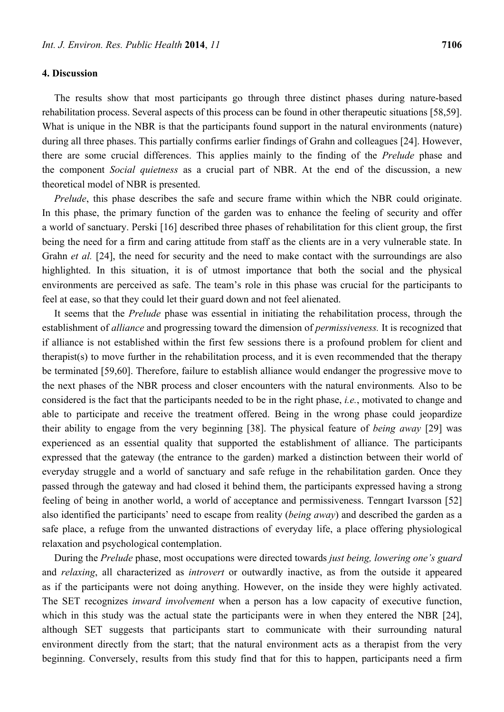The results show that most participants go through three distinct phases during nature-based rehabilitation process. Several aspects of this process can be found in other therapeutic situations [58,59]. What is unique in the NBR is that the participants found support in the natural environments (nature) during all three phases. This partially confirms earlier findings of Grahn and colleagues [24]. However, there are some crucial differences. This applies mainly to the finding of the *Prelude* phase and the component *Social quietness* as a crucial part of NBR. At the end of the discussion, a new theoretical model of NBR is presented.

*Prelude*, this phase describes the safe and secure frame within which the NBR could originate. In this phase, the primary function of the garden was to enhance the feeling of security and offer a world of sanctuary. Perski [16] described three phases of rehabilitation for this client group, the first being the need for a firm and caring attitude from staff as the clients are in a very vulnerable state. In Grahn *et al.* [24], the need for security and the need to make contact with the surroundings are also highlighted. In this situation, it is of utmost importance that both the social and the physical environments are perceived as safe. The team's role in this phase was crucial for the participants to feel at ease, so that they could let their guard down and not feel alienated.

It seems that the *Prelude* phase was essential in initiating the rehabilitation process, through the establishment of *alliance* and progressing toward the dimension of *permissiveness.* It is recognized that if alliance is not established within the first few sessions there is a profound problem for client and therapist(s) to move further in the rehabilitation process, and it is even recommended that the therapy be terminated [59,60]. Therefore, failure to establish alliance would endanger the progressive move to the next phases of the NBR process and closer encounters with the natural environments*.* Also to be considered is the fact that the participants needed to be in the right phase, *i.e.*, motivated to change and able to participate and receive the treatment offered. Being in the wrong phase could jeopardize their ability to engage from the very beginning [38]. The physical feature of *being away* [29] was experienced as an essential quality that supported the establishment of alliance. The participants expressed that the gateway (the entrance to the garden) marked a distinction between their world of everyday struggle and a world of sanctuary and safe refuge in the rehabilitation garden. Once they passed through the gateway and had closed it behind them, the participants expressed having a strong feeling of being in another world, a world of acceptance and permissiveness. Tenngart Ivarsson [52] also identified the participants' need to escape from reality (*being away*) and described the garden as a safe place, a refuge from the unwanted distractions of everyday life, a place offering physiological relaxation and psychological contemplation.

During the *Prelude* phase, most occupations were directed towards *just being, lowering one's guard* and *relaxing*, all characterized as *introvert* or outwardly inactive, as from the outside it appeared as if the participants were not doing anything. However, on the inside they were highly activated. The SET recognizes *inward involvement* when a person has a low capacity of executive function, which in this study was the actual state the participants were in when they entered the NBR [24], although SET suggests that participants start to communicate with their surrounding natural environment directly from the start; that the natural environment acts as a therapist from the very beginning. Conversely, results from this study find that for this to happen, participants need a firm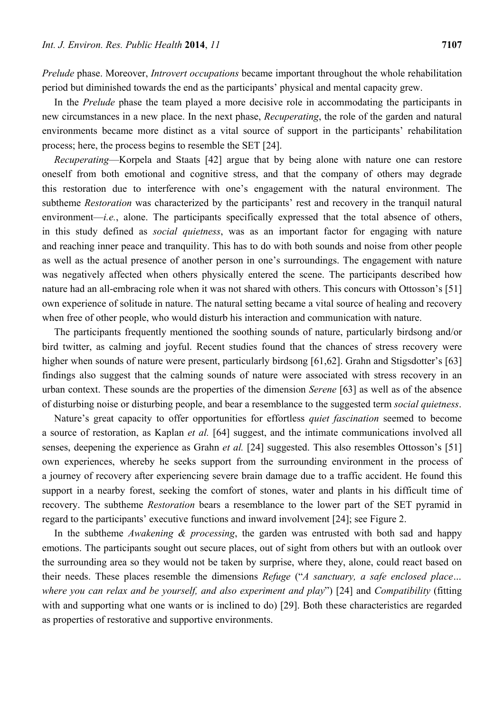*Prelude* phase. Moreover, *Introvert occupations* became important throughout the whole rehabilitation period but diminished towards the end as the participants' physical and mental capacity grew.

In the *Prelude* phase the team played a more decisive role in accommodating the participants in new circumstances in a new place. In the next phase, *Recuperating*, the role of the garden and natural environments became more distinct as a vital source of support in the participants' rehabilitation process; here, the process begins to resemble the SET [24].

*Recuperating*—Korpela and Staats [42] argue that by being alone with nature one can restore oneself from both emotional and cognitive stress, and that the company of others may degrade this restoration due to interference with one's engagement with the natural environment. The subtheme *Restoration* was characterized by the participants' rest and recovery in the tranquil natural environment—*i.e.*, alone. The participants specifically expressed that the total absence of others, in this study defined as *social quietness*, was as an important factor for engaging with nature and reaching inner peace and tranquility. This has to do with both sounds and noise from other people as well as the actual presence of another person in one's surroundings. The engagement with nature was negatively affected when others physically entered the scene. The participants described how nature had an all-embracing role when it was not shared with others. This concurs with Ottosson's [51] own experience of solitude in nature. The natural setting became a vital source of healing and recovery when free of other people, who would disturb his interaction and communication with nature.

The participants frequently mentioned the soothing sounds of nature, particularly birdsong and/or bird twitter, as calming and joyful. Recent studies found that the chances of stress recovery were higher when sounds of nature were present, particularly birdsong [61,62]. Grahn and Stigsdotter's [63] findings also suggest that the calming sounds of nature were associated with stress recovery in an urban context. These sounds are the properties of the dimension *Serene* [63] as well as of the absence of disturbing noise or disturbing people, and bear a resemblance to the suggested term *social quietness*.

Nature's great capacity to offer opportunities for effortless *quiet fascination* seemed to become a source of restoration, as Kaplan *et al.* [64] suggest, and the intimate communications involved all senses, deepening the experience as Grahn *et al.* [24] suggested. This also resembles Ottosson's [51] own experiences, whereby he seeks support from the surrounding environment in the process of a journey of recovery after experiencing severe brain damage due to a traffic accident. He found this support in a nearby forest, seeking the comfort of stones, water and plants in his difficult time of recovery. The subtheme *Restoration* bears a resemblance to the lower part of the SET pyramid in regard to the participants' executive functions and inward involvement [24]; see Figure 2.

In the subtheme *Awakening & processing*, the garden was entrusted with both sad and happy emotions. The participants sought out secure places, out of sight from others but with an outlook over the surrounding area so they would not be taken by surprise, where they, alone, could react based on their needs. These places resemble the dimensions *Refuge* ("*A sanctuary, a safe enclosed place… where you can relax and be yourself, and also experiment and play*") [24] and *Compatibility* (fitting with and supporting what one wants or is inclined to do) [29]. Both these characteristics are regarded as properties of restorative and supportive environments.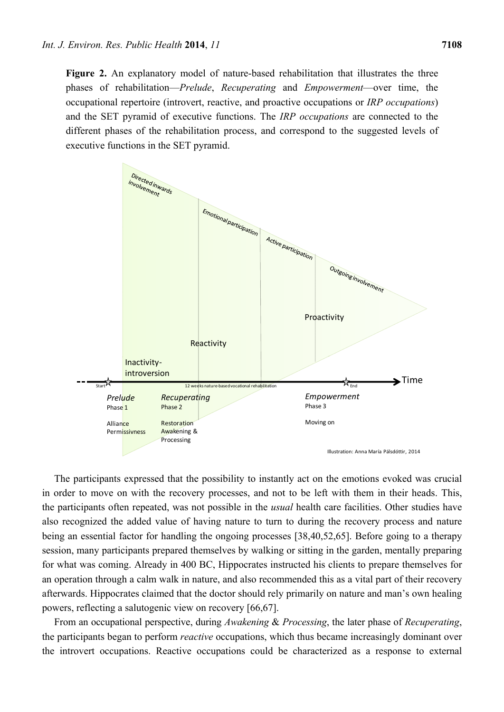**Figure 2.** An explanatory model of nature-based rehabilitation that illustrates the three phases of rehabilitation—*Prelude*, *Recuperating* and *Empowerment*—over time, the occupational repertoire (introvert, reactive, and proactive occupations or *IRP occupations*) and the SET pyramid of executive functions. The *IRP occupations* are connected to the different phases of the rehabilitation process, and correspond to the suggested levels of executive functions in the SET pyramid.



The participants expressed that the possibility to instantly act on the emotions evoked was crucial in order to move on with the recovery processes, and not to be left with them in their heads. This, the participants often repeated, was not possible in the *usual* health care facilities. Other studies have also recognized the added value of having nature to turn to during the recovery process and nature being an essential factor for handling the ongoing processes [38,40,52,65]. Before going to a therapy session, many participants prepared themselves by walking or sitting in the garden, mentally preparing for what was coming. Already in 400 BC, Hippocrates instructed his clients to prepare themselves for an operation through a calm walk in nature, and also recommended this as a vital part of their recovery afterwards. Hippocrates claimed that the doctor should rely primarily on nature and man's own healing powers, reflecting a salutogenic view on recovery [66,67].

From an occupational perspective, during *Awakening* & *Processing*, the later phase of *Recuperating*, the participants began to perform *reactive* occupations, which thus became increasingly dominant over the introvert occupations. Reactive occupations could be characterized as a response to external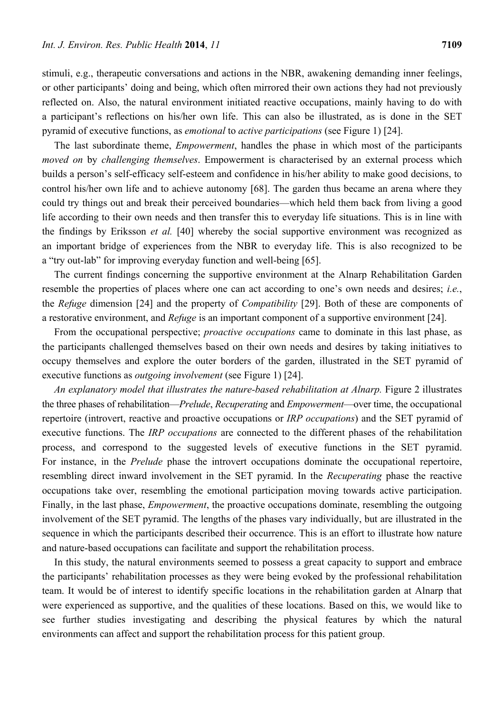stimuli, e.g., therapeutic conversations and actions in the NBR, awakening demanding inner feelings, or other participants' doing and being, which often mirrored their own actions they had not previously reflected on. Also, the natural environment initiated reactive occupations, mainly having to do with a participant's reflections on his/her own life. This can also be illustrated, as is done in the SET pyramid of executive functions, as *emotional* to *active participations* (see Figure 1) [24].

The last subordinate theme, *Empowerment*, handles the phase in which most of the participants *moved on* by *challenging themselves*. Empowerment is characterised by an external process which builds a person's self-efficacy self-esteem and confidence in his/her ability to make good decisions, to control his/her own life and to achieve autonomy [68]. The garden thus became an arena where they could try things out and break their perceived boundaries—which held them back from living a good life according to their own needs and then transfer this to everyday life situations. This is in line with the findings by Eriksson *et al.* [40] whereby the social supportive environment was recognized as an important bridge of experiences from the NBR to everyday life. This is also recognized to be a "try out-lab" for improving everyday function and well-being [65].

The current findings concerning the supportive environment at the Alnarp Rehabilitation Garden resemble the properties of places where one can act according to one's own needs and desires; *i.e.*, the *Refuge* dimension [24] and the property of *Compatibility* [29]. Both of these are components of a restorative environment, and *Refuge* is an important component of a supportive environment [24].

From the occupational perspective; *proactive occupations* came to dominate in this last phase, as the participants challenged themselves based on their own needs and desires by taking initiatives to occupy themselves and explore the outer borders of the garden, illustrated in the SET pyramid of executive functions as *outgoing involvement* (see Figure 1) [24].

*An explanatory model that illustrates the nature-based rehabilitation at Alnarp.* Figure 2 illustrates the three phases of rehabilitation—*Prelude*, *Recuperating* and *Empowerment*—over time, the occupational repertoire (introvert, reactive and proactive occupations or *IRP occupations*) and the SET pyramid of executive functions. The *IRP occupations* are connected to the different phases of the rehabilitation process, and correspond to the suggested levels of executive functions in the SET pyramid. For instance, in the *Prelude* phase the introvert occupations dominate the occupational repertoire, resembling direct inward involvement in the SET pyramid. In the *Recuperating* phase the reactive occupations take over, resembling the emotional participation moving towards active participation. Finally, in the last phase, *Empowerment*, the proactive occupations dominate, resembling the outgoing involvement of the SET pyramid. The lengths of the phases vary individually, but are illustrated in the sequence in which the participants described their occurrence. This is an effort to illustrate how nature and nature-based occupations can facilitate and support the rehabilitation process.

In this study, the natural environments seemed to possess a great capacity to support and embrace the participants' rehabilitation processes as they were being evoked by the professional rehabilitation team. It would be of interest to identify specific locations in the rehabilitation garden at Alnarp that were experienced as supportive, and the qualities of these locations. Based on this, we would like to see further studies investigating and describing the physical features by which the natural environments can affect and support the rehabilitation process for this patient group.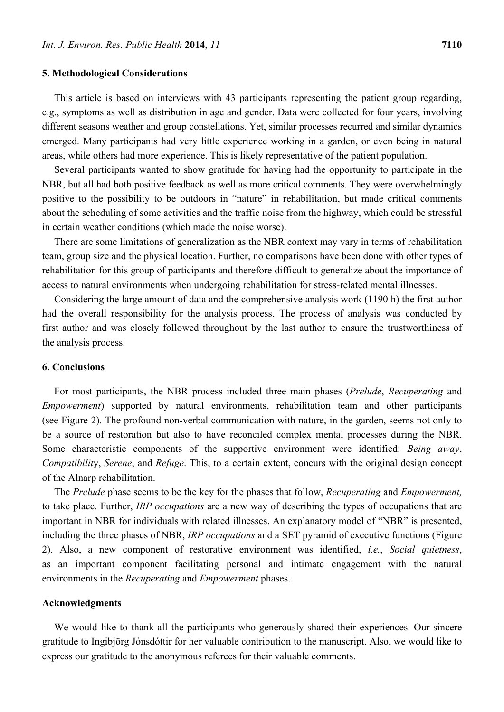#### **5. Methodological Considerations**

This article is based on interviews with 43 participants representing the patient group regarding, e.g., symptoms as well as distribution in age and gender. Data were collected for four years, involving different seasons weather and group constellations. Yet, similar processes recurred and similar dynamics emerged. Many participants had very little experience working in a garden, or even being in natural areas, while others had more experience. This is likely representative of the patient population.

Several participants wanted to show gratitude for having had the opportunity to participate in the NBR, but all had both positive feedback as well as more critical comments. They were overwhelmingly positive to the possibility to be outdoors in "nature" in rehabilitation, but made critical comments about the scheduling of some activities and the traffic noise from the highway, which could be stressful in certain weather conditions (which made the noise worse).

There are some limitations of generalization as the NBR context may vary in terms of rehabilitation team, group size and the physical location. Further, no comparisons have been done with other types of rehabilitation for this group of participants and therefore difficult to generalize about the importance of access to natural environments when undergoing rehabilitation for stress-related mental illnesses.

Considering the large amount of data and the comprehensive analysis work (1190 h) the first author had the overall responsibility for the analysis process. The process of analysis was conducted by first author and was closely followed throughout by the last author to ensure the trustworthiness of the analysis process.

## **6. Conclusions**

For most participants, the NBR process included three main phases (*Prelude*, *Recuperating* and *Empowerment*) supported by natural environments, rehabilitation team and other participants (see Figure 2). The profound non-verbal communication with nature, in the garden, seems not only to be a source of restoration but also to have reconciled complex mental processes during the NBR. Some characteristic components of the supportive environment were identified: *Being away*, *Compatibilit*y, *Serene*, and *Refuge*. This, to a certain extent, concurs with the original design concept of the Alnarp rehabilitation.

The *Prelude* phase seems to be the key for the phases that follow, *Recuperating* and *Empowerment,* to take place. Further, *IRP occupations* are a new way of describing the types of occupations that are important in NBR for individuals with related illnesses. An explanatory model of "NBR" is presented, including the three phases of NBR, *IRP occupations* and a SET pyramid of executive functions (Figure 2). Also, a new component of restorative environment was identified, *i.e.*, *Social quietness*, as an important component facilitating personal and intimate engagement with the natural environments in the *Recuperating* and *Empowerment* phases.

#### **Acknowledgments**

We would like to thank all the participants who generously shared their experiences. Our sincere gratitude to Ingibjörg Jónsdóttir for her valuable contribution to the manuscript. Also, we would like to express our gratitude to the anonymous referees for their valuable comments.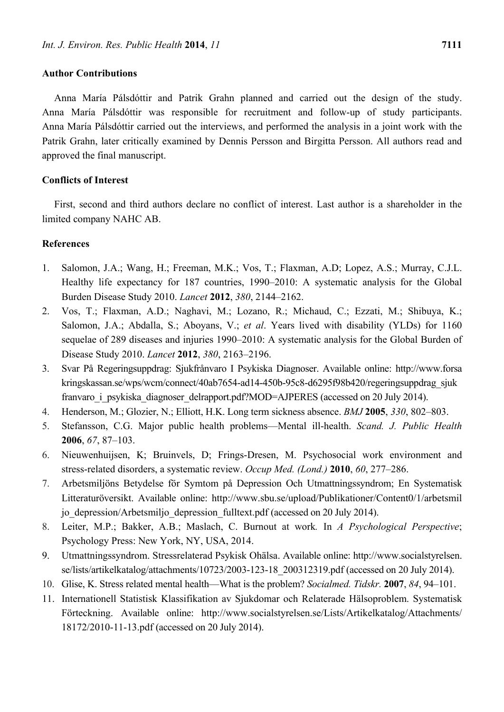#### **Author Contributions**

Anna María Pálsdóttir and Patrik Grahn planned and carried out the design of the study. Anna María Pálsdóttir was responsible for recruitment and follow-up of study participants. Anna María Pálsdóttir carried out the interviews, and performed the analysis in a joint work with the Patrik Grahn, later critically examined by Dennis Persson and Birgitta Persson. All authors read and approved the final manuscript.

# **Conflicts of Interest**

First, second and third authors declare no conflict of interest. Last author is a shareholder in the limited company NAHC AB.

# **References**

- 1. Salomon, J.A.; Wang, H.; Freeman, M.K.; Vos, T.; Flaxman, A.D; Lopez, A.S.; Murray, C.J.L. Healthy life expectancy for 187 countries, 1990–2010: A systematic analysis for the Global Burden Disease Study 2010. *Lancet* **2012**, *380*, 2144–2162.
- 2. Vos, T.; Flaxman, A.D.; Naghavi, M.; Lozano, R.; Michaud, C.; Ezzati, M.; Shibuya, K.; Salomon, J.A.; Abdalla, S.; Aboyans, V.; *et al*. Years lived with disability (YLDs) for 1160 sequelae of 289 diseases and injuries 1990–2010: A systematic analysis for the Global Burden of Disease Study 2010. *Lancet* **2012**, *380*, 2163–2196.
- 3. Svar På Regeringsuppdrag: Sjukfrånvaro I Psykiska Diagnoser. Available online: http://www.forsa kringskassan.se/wps/wcm/connect/40ab7654-ad14-450b-95c8-d6295f98b420/regeringsuppdrag\_sjuk franvaro i psykiska diagnoser delrapport.pdf?MOD=AJPERES (accessed on 20 July 2014).
- 4. Henderson, M.; Glozier, N.; Elliott, H.K. Long term sickness absence. *BMJ* **2005**, *330*, 802–803.
- 5. Stefansson, C.G. Major public health problems—Mental ill-health. *Scand. J. Public Health* **2006**, *67*, 87–103.
- 6. Nieuwenhuijsen, K; Bruinvels, D; Frings-Dresen, M. Psychosocial work environment and stress-related disorders, a systematic review. *Occup Med. (Lond.)* **2010**, *60*, 277–286.
- 7. Arbetsmiljöns Betydelse för Symtom på Depression Och Utmattningssyndrom; En Systematisk Litteraturöversikt. Available online: http://www.sbu.se/upload/Publikationer/Content0/1/arbetsmil jo\_depression/Arbetsmiljo\_depression\_fulltext.pdf (accessed on 20 July 2014).
- 8. Leiter, M.P.; Bakker, A.B.; Maslach, C. Burnout at work*.* In *A Psychological Perspective*; Psychology Press: New York, NY, USA, 2014.
- 9. Utmattningssyndrom. Stressrelaterad Psykisk Ohälsa. Available online: http://www.socialstyrelsen. se/lists/artikelkatalog/attachments/10723/2003-123-18\_200312319.pdf (accessed on 20 July 2014).
- 10. Glise, K. Stress related mental health—What is the problem? *Socialmed. Tidskr.* **2007**, *84*, 94–101.
- 11. Internationell Statistisk Klassifikation av Sjukdomar och Relaterade Hälsoproblem. Systematisk Förteckning. Available online: http://www.socialstyrelsen.se/Lists/Artikelkatalog/Attachments/ 18172/2010-11-13.pdf (accessed on 20 July 2014).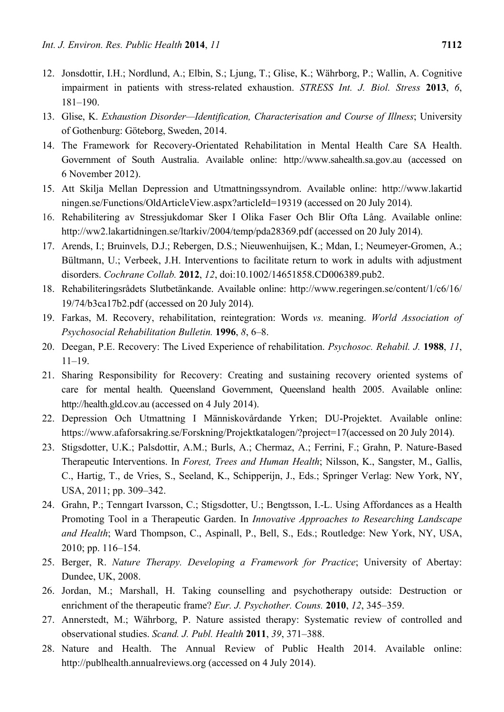- 12. Jonsdottir, I.H.; Nordlund, A.; Elbin, S.; Ljung, T.; Glise, K.; Währborg, P.; Wallin, A. Cognitive impairment in patients with stress-related exhaustion. *STRESS Int. J. Biol. Stress* **2013**, *6*, 181–190.
- 13. Glise, K. *Exhaustion Disorder—Identification, Characterisation and Course of Illness*; University of Gothenburg: Göteborg, Sweden, 2014.
- 14. The Framework for Recovery-Orientated Rehabilitation in Mental Health Care SA Health. Government of South Australia. Available online: http://www.sahealth.sa.gov.au (accessed on 6 November 2012).
- 15. Att Skilja Mellan Depression and Utmattningssyndrom. Available online: http://www.lakartid ningen.se/Functions/OldArticleView.aspx?articleId=19319 (accessed on 20 July 2014).
- 16. Rehabilitering av Stressjukdomar Sker I Olika Faser Och Blir Ofta Lång. Available online: http://ww2.lakartidningen.se/ltarkiv/2004/temp/pda28369.pdf (accessed on 20 July 2014).
- 17. Arends, I.; Bruinvels, D.J.; Rebergen, D.S.; Nieuwenhuijsen, K.; Mdan, I.; Neumeyer-Gromen, A.; Bültmann, U.; Verbeek, J.H. Interventions to facilitate return to work in adults with adjustment disorders. *Cochrane Collab.* **2012**, *12*, doi:10.1002/14651858.CD006389.pub2.
- 18. Rehabiliteringsrådets Slutbetänkande. Available online: http://www.regeringen.se/content/1/c6/16/ 19/74/b3ca17b2.pdf (accessed on 20 July 2014).
- 19. Farkas, M. Recovery, rehabilitation, reintegration: Words *vs.* meaning. *World Association of Psychosocial Rehabilitation Bulletin.* **1996**, *8*, 6–8.
- 20. Deegan, P.E. Recovery: The Lived Experience of rehabilitation. *Psychosoc. Rehabil. J.* **1988**, *11*, 11–19.
- 21. Sharing Responsibility for Recovery: Creating and sustaining recovery oriented systems of care for mental health. Queensland Government, Queensland health 2005. Available online: http://health.gld.cov.au (accessed on 4 July 2014).
- 22. Depression Och Utmattning I Människovårdande Yrken; DU-Projektet. Available online: https://www.afaforsakring.se/Forskning/Projektkatalogen/?project=17(accessed on 20 July 2014).
- 23. Stigsdotter, U.K.; Palsdottir, A.M.; Burls, A.; Chermaz, A.; Ferrini, F.; Grahn, P. Nature-Based Therapeutic Interventions. In *Forest, Trees and Human Health*; Nilsson, K., Sangster, M., Gallis, C., Hartig, T., de Vries, S., Seeland, K., Schipperijn, J., Eds.; Springer Verlag: New York, NY, USA, 2011; pp. 309–342.
- 24. Grahn, P.; Tenngart Ivarsson, C.; Stigsdotter, U.; Bengtsson, I.-L. Using Affordances as a Health Promoting Tool in a Therapeutic Garden. In *Innovative Approaches to Researching Landscape and Health*; Ward Thompson, C., Aspinall, P., Bell, S., Eds.; Routledge: New York, NY, USA, 2010; pp. 116–154.
- 25. Berger, R. *Nature Therapy. Developing a Framework for Practice*; University of Abertay: Dundee, UK, 2008.
- 26. Jordan, M.; Marshall, H. Taking counselling and psychotherapy outside: Destruction or enrichment of the therapeutic frame? *Eur. J. Psychother. Couns.* **2010**, *12*, 345–359.
- 27. Annerstedt, M.; Währborg, P. Nature assisted therapy: Systematic review of controlled and observational studies. *Scand. J. Publ. Health* **2011**, *39*, 371–388.
- 28. Nature and Health. The Annual Review of Public Health 2014. Available online: http://publhealth.annualreviews.org (accessed on 4 July 2014).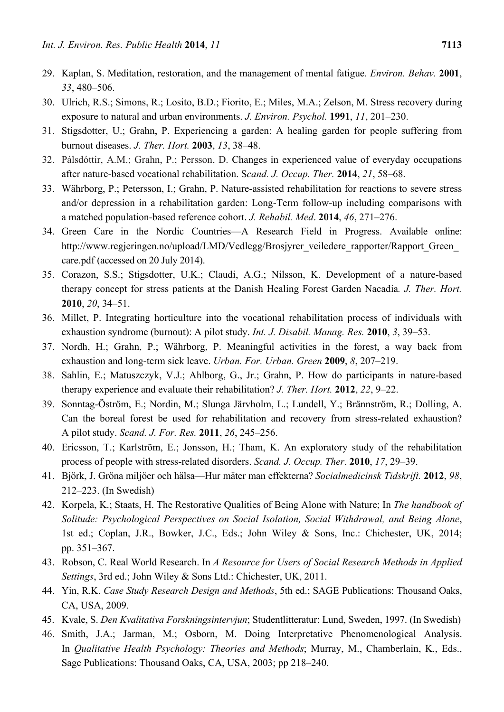- 29. Kaplan, S. Meditation, restoration, and the management of mental fatigue. *Environ. Behav.* **2001**, *33*, 480–506.
- 30. Ulrich, R.S.; Simons, R.; Losito, B.D.; Fiorito, E.; Miles, M.A.; Zelson, M. Stress recovery during exposure to natural and urban environments. *J. Environ. Psychol.* **1991**, *11*, 201–230.
- 31. Stigsdotter, U.; Grahn, P. Experiencing a garden: A healing garden for people suffering from burnout diseases. *J. Ther. Hort.* **2003**, *13*, 38–48.
- 32. Pálsdóttir, A.M.; Grahn, P.; Persson, D. Changes in experienced value of everyday occupations after nature-based vocational rehabilitation. S*cand. J. Occup. Ther.* **2014**, *21*, 58–68.
- 33. Währborg, P.; Petersson, I.; Grahn, P. Nature-assisted rehabilitation for reactions to severe stress and/or depression in a rehabilitation garden: Long-Term follow-up including comparisons with a matched population-based reference cohort. *J. Rehabil. Med*. **2014**, *46*, 271–276.
- 34. Green Care in the Nordic Countries—A Research Field in Progress. Available online: http://www.regjeringen.no/upload/LMD/Vedlegg/Brosjyrer\_veiledere\_rapporter/Rapport\_Green\_ care.pdf (accessed on 20 July 2014).
- 35. Corazon, S.S.; Stigsdotter, U.K.; Claudi, A.G.; Nilsson, K. Development of a nature-based therapy concept for stress patients at the Danish Healing Forest Garden Nacadia*. J. Ther. Hort.* **2010**, *20*, 34–51.
- 36. Millet, P. Integrating horticulture into the vocational rehabilitation process of individuals with exhaustion syndrome (burnout): A pilot study. *Int. J. Disabil. Manag. Res.* **2010**, *3*, 39–53.
- 37. Nordh, H.; Grahn, P.; Währborg, P. Meaningful activities in the forest, a way back from exhaustion and long-term sick leave. *Urban. For. Urban. Green* **2009**, *8*, 207–219.
- 38. Sahlin, E.; Matuszczyk, V.J.; Ahlborg, G., Jr.; Grahn, P. How do participants in nature-based therapy experience and evaluate their rehabilitation? *J. Ther. Hort.* **2012**, *22*, 9–22.
- 39. Sonntag-Öström, E.; Nordin, M.; Slunga Järvholm, L.; Lundell, Y.; Brännström, R.; Dolling, A. Can the boreal forest be used for rehabilitation and recovery from stress-related exhaustion? A pilot study. *Scand. J. For. Res.* **2011**, *26*, 245–256.
- 40. Ericsson, T.; Karlström, E.; Jonsson, H.; Tham, K. An exploratory study of the rehabilitation process of people with stress-related disorders. *Scand. J. Occup. Ther*. **2010**, *17*, 29–39.
- 41. Björk, J. Gröna miljöer och hälsa—Hur mäter man effekterna? *Socialmedicinsk Tidskrift.* **2012**, *98*, 212–223. (In Swedish)
- 42. Korpela, K.; Staats, H. The Restorative Qualities of Being Alone with Nature; In *The handbook of Solitude: Psychological Perspectives on Social Isolation, Social Withdrawal, and Being Alone*, 1st ed.; Coplan, J.R., Bowker, J.C., Eds.; John Wiley & Sons, Inc.: Chichester, UK, 2014; pp. 351–367.
- 43. Robson, C. Real World Research. In *A Resource for Users of Social Research Methods in Applied Settings*, 3rd ed.; John Wiley & Sons Ltd.: Chichester, UK, 2011.
- 44. Yin, R.K. *Case Study Research Design and Methods*, 5th ed.; SAGE Publications: Thousand Oaks, CA, USA, 2009.
- 45. Kvale, S. *Den Kvalitativa Forskningsintervjun*; Studentlitteratur: Lund, Sweden, 1997. (In Swedish)
- 46. Smith, J.A.; Jarman, M.; Osborn, M. Doing Interpretative Phenomenological Analysis. In *Qualitative Health Psychology: Theories and Methods*; Murray, M., Chamberlain, K., Eds., Sage Publications: Thousand Oaks, CA, USA, 2003; pp 218–240.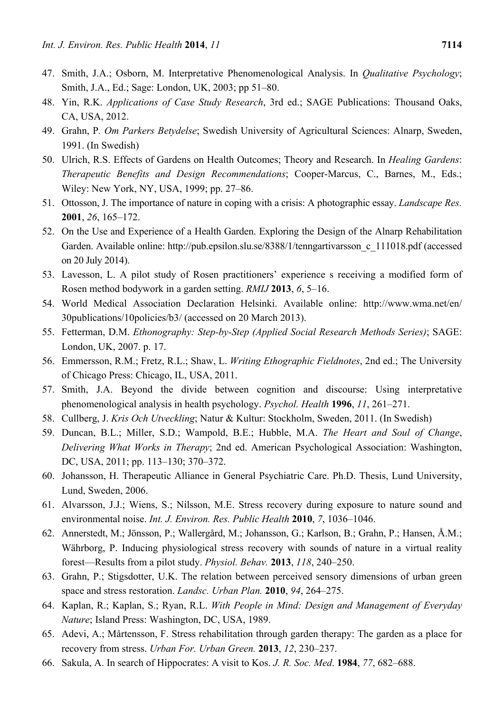- 47. Smith, J.A.; Osborn, M. Interpretative Phenomenological Analysis. In *Qualitative Psychology*; Smith, J.A., Ed.; Sage: London, UK, 2003; pp 51–80.
- 48. Yin, R.K. *Applications of Case Study Research*, 3rd ed.; SAGE Publications: Thousand Oaks, CA, USA, 2012.
- 49. Grahn, P*. Om Parkers Betydelse*; Swedish University of Agricultural Sciences: Alnarp, Sweden, 1991. (In Swedish)
- 50. Ulrich, R.S. Effects of Gardens on Health Outcomes; Theory and Research. In *Healing Gardens*: *Therapeutic Benefits and Design Recommendations*; Cooper-Marcus, C., Barnes, M., Eds.; Wiley: New York, NY, USA, 1999; pp. 27–86.
- 51. Ottosson, J. The importance of nature in coping with a crisis: A photographic essay. *Landscape Res.* **2001**, *26*, 165–172.
- 52. On the Use and Experience of a Health Garden. Exploring the Design of the Alnarp Rehabilitation Garden. Available online: http://pub.epsilon.slu.se/8388/1/tenngartivarsson\_c\_111018.pdf (accessed on 20 July 2014).
- 53. Lavesson, L. A pilot study of Rosen practitioners' experience s receiving a modified form of Rosen method bodywork in a garden setting. *RMIJ* **2013**, *6*, 5–16.
- 54. World Medical Association Declaration Helsinki. Available online: http://www.wma.net/en/ 30publications/10policies/b3/ (accessed on 20 March 2013).
- 55. Fetterman, D.M. *Ethonography: Step-by-Step (Applied Social Research Methods Series)*; SAGE: London, UK, 2007. p. 17.
- 56. Emmersson, R.M.; Fretz, R.L.; Shaw, L. *Writing Ethographic Fieldnotes*, 2nd ed.; The University of Chicago Press: Chicago, IL, USA, 2011.
- 57. Smith, J.A. Beyond the divide between cognition and discourse: Using interpretative phenomenological analysis in health psychology. *Psychol. Health* **1996**, *11*, 261–271.
- 58. Cullberg, J. *Kris Och Utveckling*; Natur & Kultur: Stockholm, Sweden, 2011. (In Swedish)
- 59. Duncan, B.L.; Miller, S.D.; Wampold, B.E.; Hubble, M.A. *The Heart and Soul of Change*, *Delivering What Works in Therapy*; 2nd ed. American Psychological Association: Washington, DC, USA, 2011; pp. 113–130; 370–372.
- 60. Johansson, H. Therapeutic Alliance in General Psychiatric Care. Ph.D. Thesis, Lund University, Lund, Sweden, 2006.
- 61. Alvarsson, J.J.; Wiens, S.; Nilsson, M.E. Stress recovery during exposure to nature sound and environmental noise. *Int. J. Environ. Res. Public Health* **2010**, *7*, 1036–1046.
- 62. Annerstedt, M.; Jönsson, P.; Wallergård, M.; Johansson, G.; Karlson, B.; Grahn, P.; Hansen, Å.M.; Währborg, P. Inducing physiological stress recovery with sounds of nature in a virtual reality forest—Results from a pilot study. *Physiol. Behav.* **2013**, *118*, 240–250.
- 63. Grahn, P.; Stigsdotter, U.K. The relation between perceived sensory dimensions of urban green space and stress restoration. *Landsc. Urban Plan.* **2010**, *94*, 264–275.
- 64. Kaplan, R.; Kaplan, S.; Ryan, R.L. *With People in Mind: Design and Management of Everyday Nature*; Island Press: Washington, DC, USA, 1989.
- 65. Adevi, A.; Mårtensson, F. Stress rehabilitation through garden therapy: The garden as a place for recovery from stress. *Urban For. Urban Green.* **2013**, *12*, 230–237.
- 66. Sakula, A. In search of Hippocrates: A visit to Kos. *J. R. Soc. Med*. **1984**, *77*, 682–688.